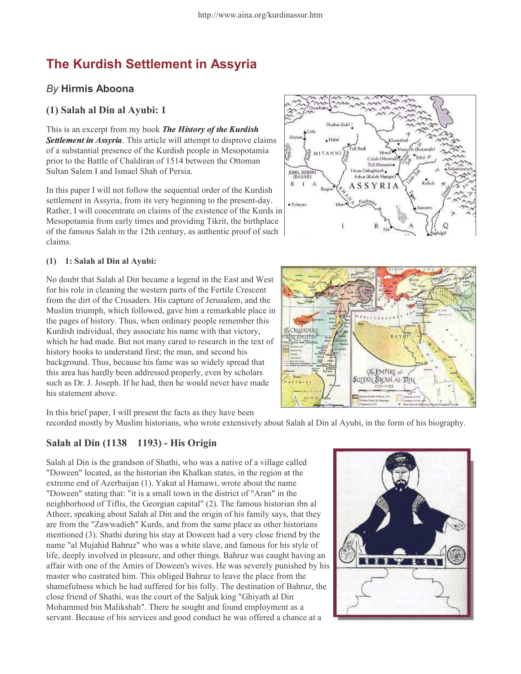# The Kurdish Settlement in Assyria

# By Hirmis Aboona

## (1) Salah al Din al Ayubi: 1

This is an excerpt from my book The History of the Kurdisi Settlement in Assyria. This article will attempt to disprove claims of a substantial presence of the Kurdish people in Mesopotamia prior to the Battle of Chaldiran of 1514 between the Ottoman Sultan Salem I and Ismael Shah of Persia.

In this paper I will not follow the sequential order of the Kurdish settlement in Assyria, from its very beginning to the present-day. Rather, I will concentrate on claims of the existence of the Kurds in Mesopotamia from early times and providing Tikrit, the birthplace of the famous Salah in the 12th century, as authentic proof of such claims.

#### (1) ñ 1: Salah al Din al Ayubi:

No doubt that Salah al Din became a legend in the East and West for his role in cleaning the western parts of the Fertile Crescent from the dirt of the Crusaders. His capture of Jerusalem, and the Muslim triumph, which followed, gave him a remarkable place in the pages of history. Thus, when ordinary people remember this Kurdish individual, they associate his name with that victory, which he had made. But not many cared to research in the text of history books to understand first; the man, and second his background. Thus, because his fame was so widely spread that this area has hardly been addressed properly, even by scholars such as Dr. J. Joseph. If he had, then he would never have made his statement above.

In this brief paper, I will present the facts as they have been recorded mostly by Muslim historians, who wrote extensively about Salah al Din al Ayubi, in the form of his biography.

## Salah al Din (1138 ñ 1193) - His Origin

Salah al Din is the grandson of Shathi, who was a native of a village called "Doween" located, as the historian ibn Khalkan states, in the region at the extreme end of Azerbaijan (1). Yakut al Hamawi, wrote about the name "Doween" stating that: "it is a small town in the district of "Aran" in the neighborhood of Tiflis, the Georgian capital" (2). The famous historian ibn al Atheer, speaking about Salah al Din and the origin of his family says, that they are from the "Zawwadieh" Kurds, and from the same place as other historians mentioned (3). Shathi during his stay at Doween had a very close friend by the name "al Mujahid Bahruz" who was a white slave, and famous for his style of life, deeply involved in pleasure, and other things. Bahruz was caught having an affair with one of the Amirs of Doween's wives. He was severely punished by his master who castrated him. This obliged Bahruz to leave the place from the shamefulness which he had suffered for his folly. The destination of Bahruz, the close friend of Shathi, was the court of the Saljuk king "Ghiyath al Din Mohammed bin Malikshah". There he sought and found employment as a servant. Because of his services and good conduct he was offered a chance at a





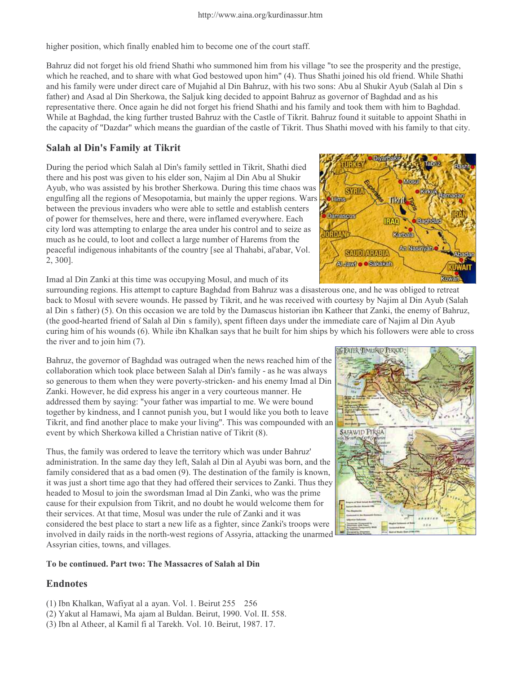higher position, which finally enabled him to become one of the court staff.

Bahruz did not forget his old friend Shathi who summoned him from his village "to see the prosperity and the prestige, which he reached, and to share with what God bestowed upon him" (4). Thus Shathi joined his old friend. While Shathi and his family were under direct care of Mujahid al Din Bahruz, with his two sons: Abu al Shukir Ayub (Salah al Dinís father) and Asad al Din Sherkowa, the Saljuk king decided to appoint Bahruz as governor of Baghdad and as his representative there. Once again he did not forget his friend Shathi and his family and took them with him to Baghdad. While at Baghdad, the king further trusted Bahruz with the Castle of Tikrit. Bahruz found it suitable to appoint Shathi in the capacity of "Dazdar" which means the guardian of the castle of Tikrit. Thus Shathi moved with his family to that city.

### Salah al Din's Family at Tikrit

During the period which Salah al Din's family settled in Tikrit, Shathi died there and his post was given to his elder son, Najim al Din Abu al Shukir Ayub, who was assisted by his brother Sherkowa. During this time chaos was engulfing all the regions of Mesopotamia, but mainly the upper regions. Wars between the previous invaders who were able to settle and establish centers of power for themselves, here and there, were inflamed everywhere. Each city lord was attempting to enlarge the area under his control and to seize as much as he could, to loot and collect a large number of Harems from the peaceful indigenous inhabitants of the country [see al Thahabi, al'abar, Vol. 2, 300].



Imad al Din Zanki at this time was occupying Mosul, and much of its

surrounding regions. His attempt to capture Baghdad from Bahruz was a disasterous one, and he was obliged to retreat back to Mosul with severe wounds. He passed by Tikrit, and he was received with courtesy by Najim al Din Ayub (Salah al Dinís father) (5). On this occasion we are told by the Damascus historian ibn Katheer that Zanki, the enemy of Bahruz, (the good-hearted friend of Salah al Dinís family), spent fifteen days under the immediate care of Najim al Din Ayub curing him of his wounds (6). While ibn Khalkan says that he built for him ships by which his followers were able to cross the river and to join him (7).

Bahruz, the governor of Baghdad was outraged when the news reached him of the collaboration which took place between Salah al Din's family - as he was always so generous to them when they were poverty-stricken- and his enemy Imad al Din Zanki. However, he did express his anger in a very courteous manner. He addressed them by saying: "your father was impartial to me. We were bound together by kindness, and I cannot punish you, but I would like you both to leave Tikrit, and find another place to make your living". This was compounded with an event by which Sherkowa killed a Christian native of Tikrit (8).

Thus, the family was ordered to leave the territory which was under Bahruz' administration. In the same day they left, Salah al Din al Ayubi was born, and the family considered that as a bad omen (9). The destination of the family is known, it was just a short time ago that they had offered their services to Zanki. Thus they headed to Mosul to join the swordsman Imad al Din Zanki, who was the prime cause for their expulsion from Tikrit, and no doubt he would welcome them for their services. At that time, Mosul was under the rule of Zanki and it was considered the best place to start a new life as a fighter, since Zanki's troops were involved in daily raids in the north-west regions of Assyria, attacking the unarmed Assyrian cities, towns, and villages.

#### To be continued. Part two: The Massacres of Salah al Din

# **Endnotes**

- (1) Ibn Khalkan, Wafiyat al aíayan. Vol. 1. Beirut 255 ñ 256
- (2) Yakut al Hamawi, Maíajam al Buldan. Beirut, 1990. Vol. II. 558.
- (3) Ibn al Atheer, al Kamil fi al Tarekh. Vol. 10. Beirut, 1987. 17.